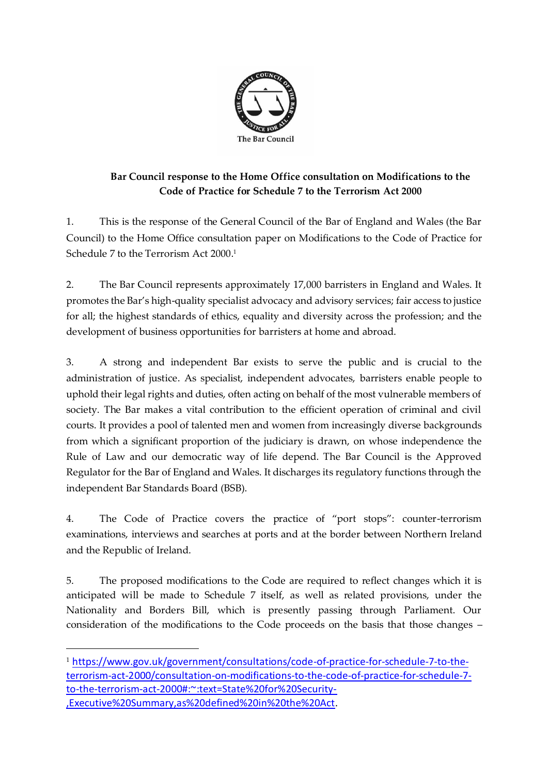

## **Bar Council response to the Home Office consultation on Modifications to the Code of Practice for Schedule 7 to the Terrorism Act 2000**

1. This is the response of the General Council of the Bar of England and Wales (the Bar Council) to the Home Office consultation paper on Modifications to the Code of Practice for Schedule 7 to the Terrorism Act 2000. 1

2. The Bar Council represents approximately 17,000 barristers in England and Wales. It promotes the Bar's high-quality specialist advocacy and advisory services; fair access to justice for all; the highest standards of ethics, equality and diversity across the profession; and the development of business opportunities for barristers at home and abroad.

3. A strong and independent Bar exists to serve the public and is crucial to the administration of justice. As specialist, independent advocates, barristers enable people to uphold their legal rights and duties, often acting on behalf of the most vulnerable members of society. The Bar makes a vital contribution to the efficient operation of criminal and civil courts. It provides a pool of talented men and women from increasingly diverse backgrounds from which a significant proportion of the judiciary is drawn, on whose independence the Rule of Law and our democratic way of life depend. The Bar Council is the Approved Regulator for the Bar of England and Wales. It discharges its regulatory functions through the independent Bar Standards Board (BSB).

4. The Code of Practice covers the practice of "port stops": counter-terrorism examinations, interviews and searches at ports and at the border between Northern Ireland and the Republic of Ireland.

5. The proposed modifications to the Code are required to reflect changes which it is anticipated will be made to Schedule 7 itself, as well as related provisions, under the Nationality and Borders Bill, which is presently passing through Parliament. Our consideration of the modifications to the Code proceeds on the basis that those changes –

<sup>1</sup> [https://www.gov.uk/government/consultations/code-of-practice-for-schedule-7-to-the](https://www.gov.uk/government/consultations/code-of-practice-for-schedule-7-to-the-terrorism-act-2000/consultation-on-modifications-to-the-code-of-practice-for-schedule-7-to-the-terrorism-act-2000#:~:text=State%20for%20Security-,Executive%20Summary,as%20defined%20in%20the%20Act)[terrorism-act-2000/consultation-on-modifications-to-the-code-of-practice-for-schedule-7](https://www.gov.uk/government/consultations/code-of-practice-for-schedule-7-to-the-terrorism-act-2000/consultation-on-modifications-to-the-code-of-practice-for-schedule-7-to-the-terrorism-act-2000#:~:text=State%20for%20Security-,Executive%20Summary,as%20defined%20in%20the%20Act) [to-the-terrorism-act-2000#:~:text=State%20for%20Security-](https://www.gov.uk/government/consultations/code-of-practice-for-schedule-7-to-the-terrorism-act-2000/consultation-on-modifications-to-the-code-of-practice-for-schedule-7-to-the-terrorism-act-2000#:~:text=State%20for%20Security-,Executive%20Summary,as%20defined%20in%20the%20Act) [,Executive%20Summary,as%20defined%20in%20the%20Act.](https://www.gov.uk/government/consultations/code-of-practice-for-schedule-7-to-the-terrorism-act-2000/consultation-on-modifications-to-the-code-of-practice-for-schedule-7-to-the-terrorism-act-2000#:~:text=State%20for%20Security-,Executive%20Summary,as%20defined%20in%20the%20Act)